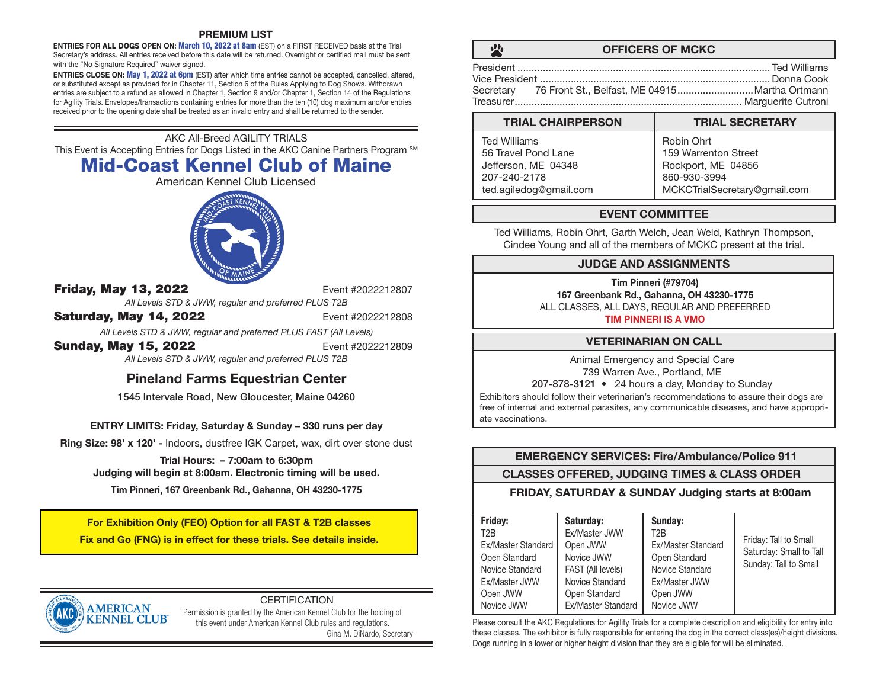### PREMIUM LIST

**ENTRIES FOR ALL DOGS OPEN ON: March 10, 2022 at 8am (EST) on a FIRST RECEIVED basis at the Trial** Secretary's address. All entries received before this date will be returned. Overnight or certified mail must be sent with the "No Signature Required" waiver signed.

ENTRIES CLOSE ON: May 1, 2022 at 6pm (EST) after which time entries cannot be accepted, cancelled, altered, or substituted except as provided for in Chapter 11, Section 6 of the Rules Applying to Dog Shows. Withdrawn entries are subject to a refund as allowed in Chapter 1, Section 9 and/or Chapter 1, Section 14 of the Regulations for Agility Trials. Envelopes/transactions containing entries for more than the ten (10) dog maximum and/or entries received prior to the opening date shall be treated as an invalid entry and shall be returned to the sender.

AKC All-Breed AGILITY TRIALS This Event is Accepting Entries for Dogs Listed in the AKC Canine Partners Program SM Mid-Coast Kennel Club of Maine

American Kennel Club Licensed



**Friday, May 13, 2022** Event #2022212807

*All Levels STD & JWW, regular and preferred PLUS T2B*

**Saturday, May 14, 2022** Event #2022212808

*All Levels STD & JWW, regular and preferred PLUS FAST (All Levels)*

**Sunday, May 15, 2022** Event #2022212809

*All Levels STD & JWW, regular and preferred PLUS T2B*

# Pineland Farms Equestrian Center

1545 Intervale Road, New Gloucester, Maine 04260

# ENTRY LIMITS: Friday, Saturday & Sunday – 330 runs per day

Ring Size: 98' x 120' - Indoors, dustfree IGK Carpet, wax, dirt over stone dust

Trial Hours: – 7:00am to 6:30pm Judging will begin at 8:00am. Electronic timing will be used.

Tim Pinneri, 167 Greenbank Rd., Gahanna, OH 43230-1775

For Exhibition Only (FEO) Option for all FAST & T2B classes Fix and Go (FNG) is in effect for these trials. See details inside.



# **CERTIFICATION**

Permission is granted by the American Kennel Club for the holding of this event under American Kennel Club rules and regulations. Gina M. DiNardo, Secretary

 $\mathbf{H}$ 

# OFFICERS OF MCKC

| Secretary 76 Front St., Belfast, ME 04915Martha Ortmann |  |
|---------------------------------------------------------|--|
|                                                         |  |

#### TRIAL CHAIRPERSON TRIAL SECRETARY Robin Ohrt 159 Warrenton Street Ted Williams 56 Travel Pond Lane

| Jefferson, ME 04348    | Rockport, ME 04856           |
|------------------------|------------------------------|
| 207-240-2178           | 860-930-3994                 |
| ted.agiledog@gmail.com | MCKCTrialSecretary@gmail.com |

# EVENT COMMITTEE

Ted Williams, Robin Ohrt, Garth Welch, Jean Weld, Kathryn Thompson, Cindee Young and all of the members of MCKC present at the trial.

# JUDGE AND ASSIGNMENTS

Tim Pinneri (#79704) 167 Greenbank Rd., Gahanna, OH 43230-1775 ALL CLASSES, ALL DAYS, REGULAR AND PREFERRED

TIM PINNERI IS A VMO

# VETERINARIAN ON CALL

Animal Emergency and Special Care 739 Warren Ave., Portland, ME

207-878-3121 • 24 hours a day, Monday to Sunday

Exhibitors should follow their veterinarian's recommendations to assure their dogs are free of internal and external parasites, any communicable diseases, and have appropriate vaccinations.

# EMERGENCY SERVICES: Fire/Ambulance/Police 911

CLASSES OFFERED, JUDGING TIMES & CLASS ORDER

FRIDAY, SATURDAY & SUNDAY Judging starts at 8:00am

| Friday:            | Saturday:          | Sunday:            |                                                  |
|--------------------|--------------------|--------------------|--------------------------------------------------|
| T <sub>2</sub> B   | Ex/Master JWW      | T2B                |                                                  |
| Ex/Master Standard | Open JWW           | Ex/Master Standard | Friday: Tall to Small<br>Saturday: Small to Tall |
| Open Standard      | Novice JWW         | Open Standard      | Sunday: Tall to Small                            |
| Novice Standard    | FAST (All levels)  | Novice Standard    |                                                  |
| Ex/Master JWW      | Novice Standard    | Ex/Master JWW      |                                                  |
| Open JWW           | Open Standard      | Open JWW           |                                                  |
| Novice JWW         | Ex/Master Standard | Novice JWW         |                                                  |

Please consult the AKC Regulations for Agility Trials for a complete description and eligibility for entry into these classes. The exhibitor is fully responsible for entering the dog in the correct class(es)/height divisions. Dogs running in a lower or higher height division than they are eligible for will be eliminated.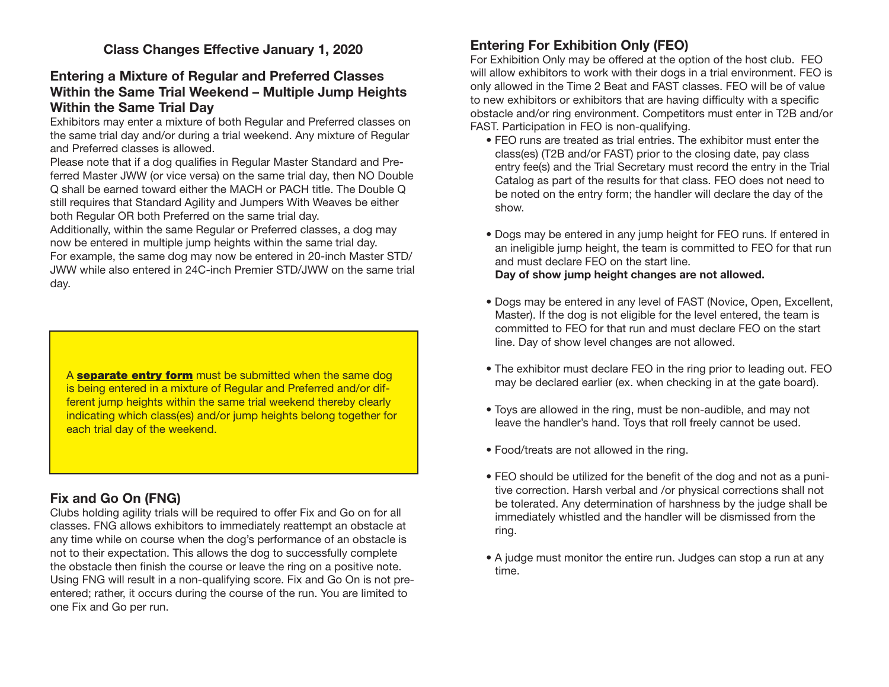# Entering a Mixture of Regular and Preferred Classes Within the Same Trial Weekend – Multiple Jump Heights Within the Same Trial Day

Exhibitors may enter a mixture of both Regular and Preferred classes on the same trial day and/or during a trial weekend. Any mixture of Regular and Preferred classes is allowed.

Please note that if a dog qualifies in Regular Master Standard and Preferred Master JWW (or vice versa) on the same trial day, then NO Double Q shall be earned toward either the MACH or PACH title. The Double Q still requires that Standard Agility and Jumpers With Weaves be either both Regular OR both Preferred on the same trial day.

Additionally, within the same Regular or Preferred classes, a dog may now be entered in multiple jump heights within the same trial day.

For example, the same dog may now be entered in 20-inch Master STD/ JWW while also entered in 24C-inch Premier STD/JWW on the same trial day.

A **separate entry form** must be submitted when the same dog is being entered in a mixture of Regular and Preferred and/or different jump heights within the same trial weekend thereby clearly indicating which class(es) and/or jump heights belong together for each trial day of the weekend.

# Fix and Go On (FNG)

Clubs holding agility trials will be required to offer Fix and Go on for all classes. FNG allows exhibitors to immediately reattempt an obstacle at any time while on course when the dog's performance of an obstacle is not to their expectation. This allows the dog to successfully complete the obstacle then finish the course or leave the ring on a positive note. Using FNG will result in a non-qualifying score. Fix and Go On is not preentered; rather, it occurs during the course of the run. You are limited to one Fix and Go per run.

# Entering For Exhibition Only (FEO)

For Exhibition Only may be offered at the option of the host club. FEO will allow exhibitors to work with their dogs in a trial environment. FEO is only allowed in the Time 2 Beat and FAST classes. FEO will be of value to new exhibitors or exhibitors that are having difficulty with a specific obstacle and/or ring environment. Competitors must enter in T2B and/or FAST. Participation in FEO is non-qualifying.

- FEO runs are treated as trial entries. The exhibitor must enter the class(es) (T2B and/or FAST) prior to the closing date, pay class entry fee(s) and the Trial Secretary must record the entry in the Trial Catalog as part of the results for that class. FEO does not need to be noted on the entry form; the handler will declare the day of the show.
- Dogs may be entered in any jump height for FEO runs. If entered in an ineligible jump height, the team is committed to FEO for that run and must declare FEO on the start line. Day of show jump height changes are not allowed.
- Dogs may be entered in any level of FAST (Novice, Open, Excellent, Master). If the dog is not eligible for the level entered, the team is committed to FEO for that run and must declare FEO on the start line. Day of show level changes are not allowed.
- The exhibitor must declare FEO in the ring prior to leading out. FEO may be declared earlier (ex. when checking in at the gate board).
- Toys are allowed in the ring, must be non-audible, and may not leave the handler's hand. Toys that roll freely cannot be used.
- Food/treats are not allowed in the ring.
- FEO should be utilized for the benefit of the dog and not as a punitive correction. Harsh verbal and /or physical corrections shall not be tolerated. Any determination of harshness by the judge shall be immediately whistled and the handler will be dismissed from the ring.
- A judge must monitor the entire run. Judges can stop a run at any time.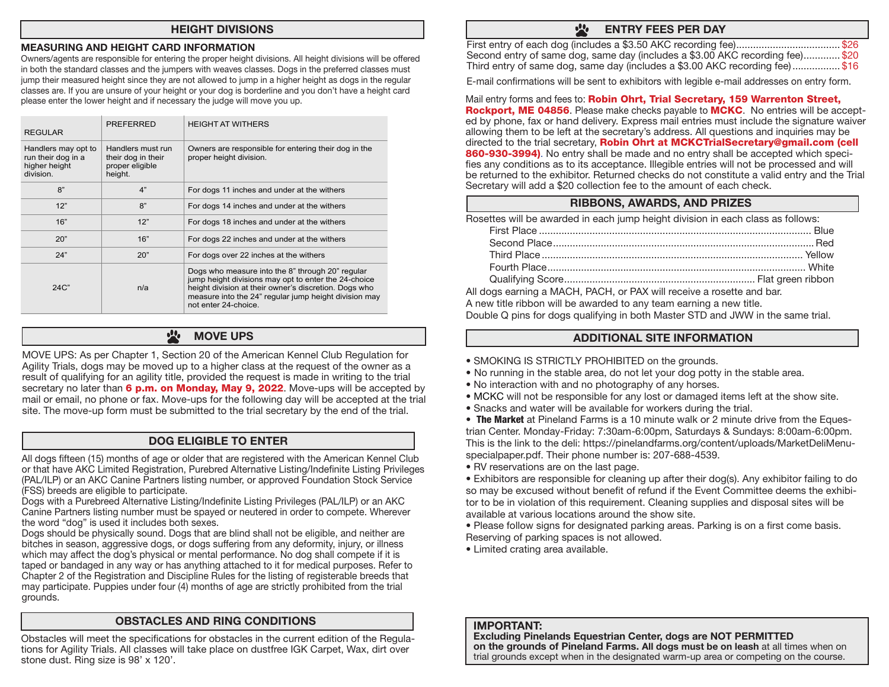### HEIGHT DIVISIONS

### MEASURING AND HEIGHT CARD INFORMATION

Owners/agents are responsible for entering the proper height divisions. All height divisions will be offered in both the standard classes and the jumpers with weaves classes. Dogs in the preferred classes must jump their measured height since they are not allowed to jump in a higher height as dogs in the regular classes are. If you are unsure of your height or your dog is borderline and you don't have a height card please enter the lower height and if necessary the judge will move you up.

| <b>REGULAR</b>                                                          | <b>PREFERRED</b>                                                      | <b>HEIGHT AT WITHERS</b>                                                                                                                                                                                                                           |
|-------------------------------------------------------------------------|-----------------------------------------------------------------------|----------------------------------------------------------------------------------------------------------------------------------------------------------------------------------------------------------------------------------------------------|
| Handlers may opt to<br>run their dog in a<br>higher height<br>division. | Handlers must run<br>their dog in their<br>proper eligible<br>height. | Owners are responsible for entering their dog in the<br>proper height division.                                                                                                                                                                    |
| 8"                                                                      | 4"                                                                    | For dogs 11 inches and under at the withers                                                                                                                                                                                                        |
| 12"                                                                     | 8"                                                                    | For dogs 14 inches and under at the withers                                                                                                                                                                                                        |
| 16"                                                                     | 12"                                                                   | For dogs 18 inches and under at the withers                                                                                                                                                                                                        |
| 20"                                                                     | 16"                                                                   | For dogs 22 inches and under at the withers                                                                                                                                                                                                        |
| 24"                                                                     | 20"                                                                   | For dogs over 22 inches at the withers                                                                                                                                                                                                             |
| $24C$ "                                                                 | n/a                                                                   | Dogs who measure into the 8" through 20" regular<br>jump height divisions may opt to enter the 24-choice<br>height division at their owner's discretion. Dogs who<br>measure into the 24" regular jump height division may<br>not enter 24-choice. |

#### $\mathbf{r}$ MOVE UPS

MOVE UPS: As per Chapter 1, Section 20 of the American Kennel Club Regulation for Agility Trials, dogs may be moved up to a higher class at the request of the owner as a result of qualifying for an agility title, provided the request is made in writing to the trial secretary no later than  $6$  p.m. on Monday, May 9, 2022. Move-ups will be accepted by mail or email, no phone or fax. Move-ups for the following day will be accepted at the trial site. The move-up form must be submitted to the trial secretary by the end of the trial.

# DOG ELIGIBLE TO ENTER

All dogs fifteen (15) months of age or older that are registered with the American Kennel Club or that have AKC Limited Registration, Purebred Alternative Listing/Indefinite Listing Privileges (PAL/ILP) or an AKC Canine Partners listing number, or approved Foundation Stock Service (FSS) breeds are eligible to participate.

Dogs with a Purebreed Alternative Listing/Indefinite Listing Privileges (PAL/ILP) or an AKC Canine Partners listing number must be spayed or neutered in order to compete. Wherever the word "dog" is used it includes both sexes.

Dogs should be physically sound. Dogs that are blind shall not be eligible, and neither are bitches in season, aggressive dogs, or dogs suffering from any deformity, injury, or illness which may affect the dog's physical or mental performance. No dog shall compete if it is taped or bandaged in any way or has anything attached to it for medical purposes. Refer to Chapter 2 of the Registration and Discipline Rules for the listing of registerable breeds that may participate. Puppies under four (4) months of age are strictly prohibited from the trial grounds.

# OBSTACLES AND RING CONDITIONS

Obstacles will meet the specifications for obstacles in the current edition of the Regulations for Agility Trials. All classes will take place on dustfree IGK Carpet, Wax, dirt over stone dust. Ring size is 98' x 120'.

#### $\frac{1}{2}$ ENTRY FEES PER DAY

| Second entry of same dog, same day (includes a \$3.00 AKC recording fee) \$20 |  |
|-------------------------------------------------------------------------------|--|
| Third entry of same dog, same day (includes a \$3.00 AKC recording fee)\$16   |  |

E-mail confirmations will be sent to exhibitors with legible e-mail addresses on entry form.

Mail entry forms and fees to: Robin Ohrt, Trial Secretary, 159 Warrenton Street, Rockport, ME 04856. Please make checks payable to MCKC. No entries will be accepted by phone, fax or hand delivery. Express mail entries must include the signature waiver allowing them to be left at the secretary's address. All questions and inquiries may be directed to the trial secretary, Robin Ohrt at MCKCTrialSecretary@gmail.com (cell 860-930-3994). No entry shall be made and no entry shall be accepted which specifies any conditions as to its acceptance. Illegible entries will not be processed and will be returned to the exhibitor. Returned checks do not constitute a valid entry and the Trial Secretary will add a \$20 collection fee to the amount of each check.

# RIBBONS, AWARDS, AND PRIZES

Rosettes will be awarded in each jump height division in each class as follows:

All dogs earning a MACH, PACH, or PAX will receive a rosette and bar. A new title ribbon will be awarded to any team earning a new title. Double Q pins for dogs qualifying in both Master STD and JWW in the same trial.

# ADDITIONAL SITE INFORMATION

- SMOKING IS STRICTLY PROHIBITED on the grounds.
- No running in the stable area, do not let your dog potty in the stable area.
- No interaction with and no photography of any horses.
- MCKC will not be responsible for any lost or damaged items left at the show site.
- Snacks and water will be available for workers during the trial.
- The Market at Pineland Farms is a 10 minute walk or 2 minute drive from the Equestrian Center. Monday-Friday: 7:30am-6:00pm, Saturdays & Sundays: 8:00am-6:00pm. This is the link to the deli: https://pinelandfarms.org/content/uploads/MarketDeliMenuspecialpaper.pdf. Their phone number is: 207-688-4539.
- RV reservations are on the last page.

• Exhibitors are responsible for cleaning up after their dog(s). Any exhibitor failing to do so may be excused without benefit of refund if the Event Committee deems the exhibitor to be in violation of this requirement. Cleaning supplies and disposal sites will be available at various locations around the show site.

- Please follow signs for designated parking areas. Parking is on a first come basis. Reserving of parking spaces is not allowed.
- Limited crating area available.

### IMPORTANT:

Excluding Pinelands Equestrian Center, dogs are NOT PERMITTED on the grounds of Pineland Farms. All dogs must be on leash at all times when on trial grounds except when in the designated warm-up area or competing on the course.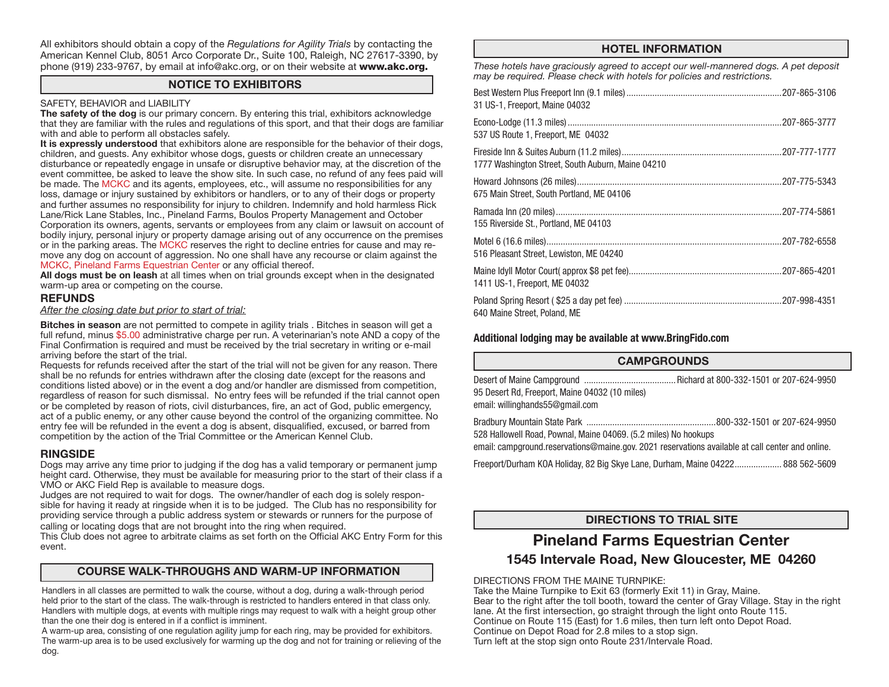All exhibitors should obtain a copy of the *Regulations for Agility Trials* by contacting the American Kennel Club, 8051 Arco Corporate Dr., Suite 100, Raleigh, NC 27617-3390, by phone (919) 233-9767, by email at info@akc.org, or on their website at www.akc.org.

# NOTICE TO EXHIBITORS

### SAFETY, BEHAVIOR and LIABILITY

The safety of the dog is our primary concern. By entering this trial, exhibitors acknowledge that they are familiar with the rules and regulations of this sport, and that their dogs are familiar with and able to perform all obstacles safely.

It is expressly understood that exhibitors alone are responsible for the behavior of their dogs, children, and guests. Any exhibitor whose dogs, guests or children create an unnecessary disturbance or repeatedly engage in unsafe or disruptive behavior may, at the discretion of the event committee, be asked to leave the show site. In such case, no refund of any fees paid will be made. The MCKC and its agents, employees, etc., will assume no responsibilities for any loss, damage or injury sustained by exhibitors or handlers, or to any of their dogs or property and further assumes no responsibility for injury to children. Indemnify and hold harmless Rick Lane/Rick Lane Stables, Inc., Pineland Farms, Boulos Property Management and October Corporation its owners, agents, servants or employees from any claim or lawsuit on account of bodily injury, personal injury or property damage arising out of any occurrence on the premises or in the parking areas. The MCKC reserves the right to decline entries for cause and may remove any dog on account of aggression. No one shall have any recourse or claim against the MCKC, Pineland Farms Equestrian Center or any official thereof.

All dogs must be on leash at all times when on trial grounds except when in the designated warm-up area or competing on the course.

### **REFUNDS**

*After the closing date but prior to start of trial:*

Bitches in season are not permitted to compete in agility trials . Bitches in season will get a full refund, minus \$5.00 administrative charge per run. A veterinarian's note AND a copy of the Final Confirmation is required and must be received by the trial secretary in writing or e-mail arriving before the start of the trial.

Requests for refunds received after the start of the trial will not be given for any reason. There shall be no refunds for entries withdrawn after the closing date (except for the reasons and conditions listed above) or in the event a dog and/or handler are dismissed from competition, regardless of reason for such dismissal. No entry fees will be refunded if the trial cannot open or be completed by reason of riots, civil disturbances, fire, an act of God, public emergency, act of a public enemy, or any other cause beyond the control of the organizing committee. No entry fee will be refunded in the event a dog is absent, disqualified, excused, or barred from competition by the action of the Trial Committee or the American Kennel Club.

# RINGSIDE

Dogs may arrive any time prior to judging if the dog has a valid temporary or permanent jump height card. Otherwise, they must be available for measuring prior to the start of their class if a VMO or AKC Field Rep is available to measure dogs.

Judges are not required to wait for dogs. The owner/handler of each dog is solely responsible for having it ready at ringside when it is to be judged. The Club has no responsibility for providing service through a public address system or stewards or runners for the purpose of calling or locating dogs that are not brought into the ring when required.

This Club does not agree to arbitrate claims as set forth on the Official AKC Entry Form for this event.

# COURSE WALK-THROUGHS AND WARM-UP INFORMATION

Handlers in all classes are permitted to walk the course, without a dog, during a walk-through period held prior to the start of the class. The walk-through is restricted to handlers entered in that class only. Handlers with multiple dogs, at events with multiple rings may request to walk with a height group other than the one their dog is entered in if a conflict is imminent.

A warm-up area, consisting of one regulation agility jump for each ring, may be provided for exhibitors. The warm-up area is to be used exclusively for warming up the dog and not for training or relieving of the dog.

# HOTEL INFORMATION

*These hotels have graciously agreed to accept our well-mannered dogs. A pet deposit may be required. Please check with hotels for policies and restrictions.*

| 31 US-1, Freeport, Maine 04032                    |  |
|---------------------------------------------------|--|
| 537 US Route 1, Freeport, ME 04032                |  |
| 1777 Washington Street, South Auburn, Maine 04210 |  |
| 675 Main Street, South Portland, ME 04106         |  |
| 155 Riverside St., Portland, ME 04103             |  |
| 516 Pleasant Street, Lewiston, ME 04240           |  |
| 1411 US-1, Freeport, ME 04032                     |  |
| 640 Maine Street, Poland, ME                      |  |

### Additional lodging may be available at www.BringFido.com

# **CAMPGROUNDS**

Desert of Maine Campground .......................................Richard at 800-332-1501 or 207-624-9950 95 Desert Rd, Freeport, Maine 04032 (10 miles) email: willinghands55@gmail.com

Bradbury Mountain State Park .......................................................800-332-1501 or 207-624-9950 528 Hallowell Road, Pownal, Maine 04069. (5.2 miles) No hookups

email: campground.reservations@maine.gov. 2021 reservations available at call center and online.

Freeport/Durham KOA Holiday, 82 Big Skye Lane, Durham, Maine 04222.................... 888 562-5609

# DIRECTIONS TO TRIAL SITE

# Pineland Farms Equestrian Center 1545 Intervale Road, New Gloucester, ME 04260

DIRECTIONS FROM THE MAINE TURNPIKE:

Take the Maine Turnpike to Exit 63 (formerly Exit 11) in Gray, Maine. Bear to the right after the toll booth, toward the center of Gray Village. Stay in the right lane. At the first intersection, go straight through the light onto Route 115. Continue on Route 115 (East) for 1.6 miles, then turn left onto Depot Road. Continue on Depot Road for 2.8 miles to a stop sign. Turn left at the stop sign onto Route 231/Intervale Road.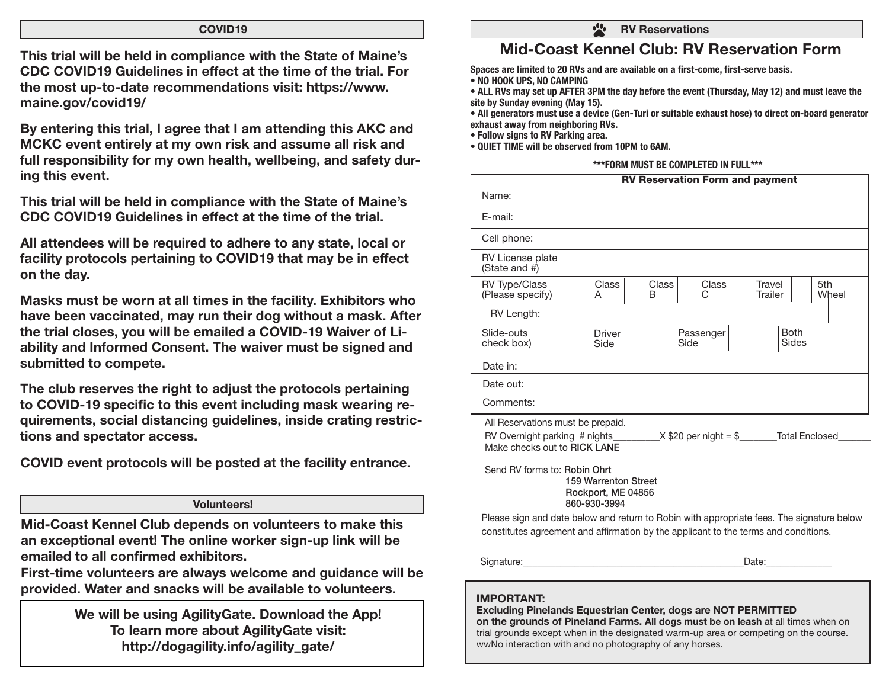### COVID19

This trial will be held in compliance with the State of Maine's CDC COVID19 Guidelines in effect at the time of the trial. For the most up-to-date recommendations visit: https://www. maine.gov/covid19/

By entering this trial, I agree that I am attending this AKC and MCKC event entirely at my own risk and assume all risk and full responsibility for my own health, wellbeing, and safety during this event.

This trial will be held in compliance with the State of Maine's CDC COVID19 Guidelines in effect at the time of the trial.

All attendees will be required to adhere to any state, local or facility protocols pertaining to COVID19 that may be in effect on the day.

Masks must be worn at all times in the facility. Exhibitors who have been vaccinated, may run their dog without a mask. After the trial closes, you will be emailed a COVID-19 Waiver of Liability and Informed Consent. The waiver must be signed and submitted to compete.

The club reserves the right to adjust the protocols pertaining to COVID-19 specific to this event including mask wearing requirements, social distancing guidelines, inside crating restrictions and spectator access.

COVID event protocols will be posted at the facility entrance.

### Volunteers!

Mid-Coast Kennel Club depends on volunteers to make this an exceptional event! The online worker sign-up link will be emailed to all confirmed exhibitors.

First-time volunteers are always welcome and guidance will be provided. Water and snacks will be available to volunteers.

> We will be using AgilityGate. Download the App! To learn more about AgilityGate visit: http://dogagility.info/agility\_gate/

 $\frac{1}{2}$ RV Reservations

# Mid-Coast Kennel Club: RV Reservation Form

Spaces are limited to 20 RVs and are available on a first-come, first-serve basis. • NO HOOK UPS, NO CAMPING

• ALL RVs may set up AFTER 3PM the day before the event (Thursday, May 12) and must leave the site by Sunday evening (May 15).

• All generators must use a device (Gen-Turi or suitable exhaust hose) to direct on-board generator exhaust away from neighboring RVs.

• Follow signs to RV Parking area.

• QUIET TIME will be observed from 10PM to 6AM.

|                                          | <b>RV Reservation Form and payment</b>                                    |  |  |                   |  |  |                   |  |     |       |
|------------------------------------------|---------------------------------------------------------------------------|--|--|-------------------|--|--|-------------------|--|-----|-------|
| Name:                                    |                                                                           |  |  |                   |  |  |                   |  |     |       |
| E-mail:                                  |                                                                           |  |  |                   |  |  |                   |  |     |       |
| Cell phone:                              |                                                                           |  |  |                   |  |  |                   |  |     |       |
| RV License plate<br>(State and $#$ )     |                                                                           |  |  |                   |  |  |                   |  |     |       |
| <b>RV Type/Class</b><br>(Please specify) | <b>Class</b><br><b>Class</b><br>B<br>A                                    |  |  | <b>Class</b><br>C |  |  | Travel<br>Trailer |  | 5th | Wheel |
| RV Length:                               |                                                                           |  |  |                   |  |  |                   |  |     |       |
| Slide-outs<br>check box)                 | <b>Both</b><br>Passenger<br><b>Driver</b><br><b>Sides</b><br>Side<br>Side |  |  |                   |  |  |                   |  |     |       |
| Date in:                                 |                                                                           |  |  |                   |  |  |                   |  |     |       |
| Date out:                                |                                                                           |  |  |                   |  |  |                   |  |     |       |
| Comments:                                |                                                                           |  |  |                   |  |  |                   |  |     |       |

All Reservations must be prepaid.

| RV Overnight parking # nights | $X$ \$20 per night = \$ | <b>Total Enclosed</b> |
|-------------------------------|-------------------------|-----------------------|
| Make checks out to RICK LANE  |                         |                       |

Send RV forms to: Robin Ohrt 159 Warrenton Street Rockport, ME 04856 860-930-3994

Please sign and date below and return to Robin with appropriate fees. The signature below constitutes agreement and affirmation by the applicant to the terms and conditions.

Signature:\_\_\_\_\_\_\_\_\_\_\_\_\_\_\_\_\_\_\_\_\_\_\_\_\_\_\_\_\_\_\_\_\_\_\_\_\_\_\_\_\_\_\_\_\_\_\_Date:\_\_\_\_\_\_\_\_\_\_\_\_\_\_

# IMPORTANT:

Excluding Pinelands Equestrian Center, dogs are NOT PERMITTED

on the grounds of Pineland Farms. All dogs must be on leash at all times when on trial grounds except when in the designated warm-up area or competing on the course. wwNo interaction with and no photography of any horses.